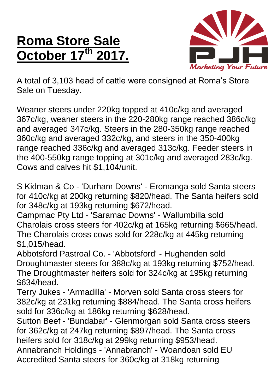## **Roma Store Sale October 17 th 2017.**



A total of 3,103 head of cattle were consigned at Roma's Store Sale on Tuesday.

Weaner steers under 220kg topped at 410c/kg and averaged 367c/kg, weaner steers in the 220-280kg range reached 386c/kg and averaged 347c/kg. Steers in the 280-350kg range reached 360c/kg and averaged 332c/kg, and steers in the 350-400kg range reached 336c/kg and averaged 313c/kg. Feeder steers in the 400-550kg range topping at 301c/kg and averaged 283c/kg. Cows and calves hit \$1,104/unit.

S Kidman & Co - 'Durham Downs' - Eromanga sold Santa steers for 410c/kg at 200kg returning \$820/head. The Santa heifers sold for 348c/kg at 193kg returning \$672/head.

Campmac Pty Ltd - 'Saramac Downs' - Wallumbilla sold Charolais cross steers for 402c/kg at 165kg returning \$665/head. The Charolais cross cows sold for 228c/kg at 445kg returning \$1,015/head.

Abbotsford Pastroal Co. - 'Abbotsford' - Hughenden sold Droughtmaster steers for 388c/kg at 193kg returning \$752/head. The Droughtmaster heifers sold for 324c/kg at 195kg returning \$634/head.

Terry Jukes - 'Armadilla' - Morven sold Santa cross steers for 382c/kg at 231kg returning \$884/head. The Santa cross heifers sold for 336c/kg at 186kg returning \$628/head.

Sutton Beef - 'Bundabar' - Glenmorgan sold Santa cross steers for 362c/kg at 247kg returning \$897/head. The Santa cross heifers sold for 318c/kg at 299kg returning \$953/head.

Annabranch Holdings - 'Annabranch' - Woandoan sold EU Accredited Santa steers for 360c/kg at 318kg returning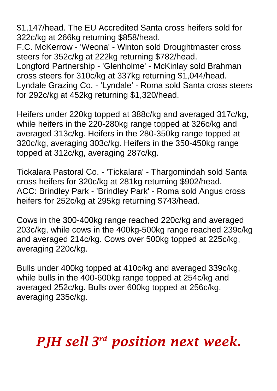\$1,147/head. The EU Accredited Santa cross heifers sold for 322c/kg at 266kg returning \$858/head.

F.C. McKerrow - 'Weona' - Winton sold Droughtmaster cross steers for 352c/kg at 222kg returning \$782/head. Longford Partnership - 'Glenholme' - McKinlay sold Brahman cross steers for 310c/kg at 337kg returning \$1,044/head. Lyndale Grazing Co. - 'Lyndale' - Roma sold Santa cross steers for 292c/kg at 452kg returning \$1,320/head.

Heifers under 220kg topped at 388c/kg and averaged 317c/kg, while heifers in the 220-280kg range topped at 326c/kg and averaged 313c/kg. Heifers in the 280-350kg range topped at 320c/kg, averaging 303c/kg. Heifers in the 350-450kg range topped at 312c/kg, averaging 287c/kg.

Tickalara Pastoral Co. - 'Tickalara' - Thargomindah sold Santa cross heifers for 320c/kg at 281kg returning \$902/head. ACC: Brindley Park - 'Brindley Park' - Roma sold Angus cross heifers for 252c/kg at 295kg returning \$743/head.

Cows in the 300-400kg range reached 220c/kg and averaged 203c/kg, while cows in the 400kg-500kg range reached 239c/kg and averaged 214c/kg. Cows over 500kg topped at 225c/kg, averaging 220c/kg.

Bulls under 400kg topped at 410c/kg and averaged 339c/kg, while bulls in the 400-600kg range topped at 254c/kg and averaged 252c/kg. Bulls over 600kg topped at 256c/kg, averaging 235c/kg.

## *PJH sell 3 rd position next week.*